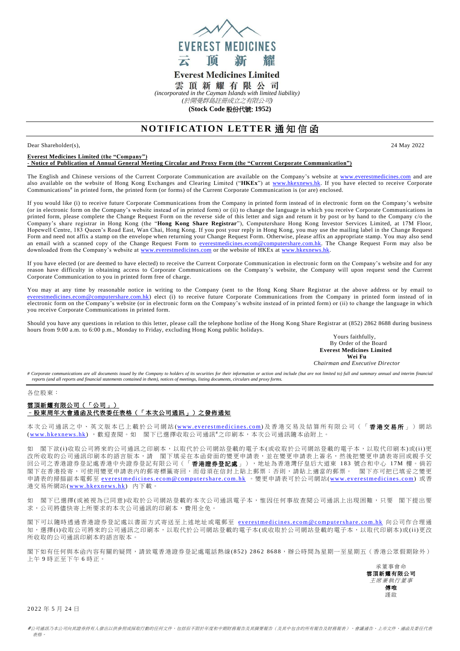

# **Everest Medicines Limited**

雲頂新耀有限公司

*(incorporated in the Cayman Islands with limited liability)* 

*(*於開曼群島註冊成立之有限公司*)*

**(Stock Code** 股份代號: **1952)**

# **NOTIFICATION LETTER 通知信函**

Dear Shareholder(s), 24 May 2022

### **Everest Medicines Limited (the "Company") - Notice of Publication of Annual General Meeting Circular and Proxy Form (the "Current Corporate Communication")**

The English and Chinese versions of the Current Corporate Communication are available on the Company's website at [www.everestmedicines.com](https://www.everestmedicines.com/) and are also available on the website of Hong Kong Exchanges and Clearing Limited ("**HKEx**") at [www.hkexnews.hk.](http://www.hkexnews.hk/) If you have elected to receive Corporate Communications# in printed form, the printed form (or forms) of the Current Corporate Communication is (or are) enclosed.

If you would like (i) to receive future Corporate Communications from the Company in printed form instead of in electronic form on the Company's website (or in electronic form on the Company's website instead of in printed form) or (ii) to change the language in which you receive Corporate Communications in printed form, please complete the Change Request Form on the reverse side of this letter and sign and return it by post or by hand to the Company c/o the Company's share registrar in Hong Kong (the "**Hong Kong Share Registrar**"), Computershare Hong Kong Investor Services Limited, at 17M Floor, Hopewell Centre, 183 Queen's Road East, Wan Chai, Hong Kong. If you post your reply in Hong Kong, you may use the mailing label in the Change Request Form and need not affix a stamp on the envelope when returning your Change Request Form. Otherwise, please affix an appropriate stamp. You may also send an email with a scanned copy of the Change Request Form to [everestmedicines.ecom@computershare.com.hk.](mailto:everestmedicines.ecom@computershare.com.hk) The Change Request Form may also be downloaded from the Company's website at [www.everestmedicines.com](https://www.everestmedicines.com/) or the website of HKEx a[t www.hkexnews.hk.](http://www.hkexnews.hk/)

If you have elected (or are deemed to have elected) to receive the Current Corporate Communication in electronic form on the Company's website and for any reason have difficulty in obtaining access to Corporate Communications on the Company's website, the Company will upon request send the Current Corporate Communication to you in printed form free of charge.

You may at any time by reasonable notice in writing to the Company (sent to the Hong Kong Share Registrar at the above address or by email to [everestmedicines.ecom@computershare.com.hk\)](mailto:everestmedicines.ecom@computershare.com.hk) elect (i) to receive future Corporate Communications from the Company in printed form instead of in electronic form on the Company's website (or in electronic form on the Company's website instead of in printed form) or (ii) to change the language in which you receive Corporate Communications in printed form.

Should you have any questions in relation to this letter, please call the telephone hotline of the Hong Kong Share Registrar at (852) 2862 8688 during business hours from 9:00 a.m. to 6:00 p.m., Monday to Friday, excluding Hong Kong public holidays.

Yours faithfully, By Order of the Board **Everest Medicines Limited Wei Fu**

*Chairman and Executive Director*

# Corporate communications are all documents issued by the Company to holders of its securities for their information or action and include (but are not limited to) full and summary annual and interim financial *reports (and all reports and financial statements contained in them), notices of meetings, listing documents, circulars and proxy forms.*

各位股東:

## 雲頂新耀有限公司(「公司」) –股東周年大會通函及代表委任表格(「本次公司通訊」)之發佈通知

本次公司通訊之中、英文版本已上載於公司網站(www.everestmedicines.com)及香港交易及結算所有限公司(「**香港交易所**」)網站 (www.hkexnews.hk), 歡迎查閱。如 閣下已選擇收取公司通訊#之印刷本,本次公司通訊隨本函附上。

如 閣下欲(i)收取公司將來的公司通訊之印刷本,以取代於公司網站登載的電子本(或收取於公司網站登載的電子本,以取代印刷本)或(ii)更 改所收取的公司通訊印刷本的語言版本,請 閣下填妥在本函背面的變更申請表,並在變更申請表上簽名,然後把變更申請表寄回或親手交 回公司之香港證券登記處香港中央證券登記有限公司(「香港證券登記處」),地址為香港灣仔皇后大道東 183 號合和中心 1 7M 樓。倘若 閣下在香港投寄,可使用變更申請表內的郵寄標籤寄回,而毋須在信封上貼上郵票;否則,請貼上適當的郵票。 閣下亦可把已填妥之變更 申請表的掃描副本電郵至 everestmedicines.ecom@computershare.com.hk 。變更申請表可於公司網站(www.everestmedicines.com) 或香 港交易所網站(www.hkexnews.hk) 內下載。

如 閣下已選擇(或被視為已同意)收取於公司網站登載的本次公司通訊電子本,惟因任何事故查閱公司通訊上出現困難,只要 閣下提出要 求,公司將儘快寄上所要求的本次公司通訊的印刷本,費用全免。

閣下可以隨時透過香港證券登記處以書面方式寄送至上述地址或電郵至 everestmedicines.ecom@computershare.com.hk 向公司作合理通 知,選擇(i)收取公司將來的公司通訊之印刷本,以取代於公司網站登載的電子本(或收取於公司網站登載的電子本,以取代印刷本)或(ii)更改 所收取的公司通訊印刷本的語言版本。

閣下如有任何與本函內容有關的疑問,請致電香港證券登記處電話熱線(852) 2862 8688,辦公時間為星期一至星期五(香港公眾假期除外) 上午 9 時正至下午 6 時正。

承董事會命 雲頂新耀有限公司 主席兼執行董事 傅唯 謹啟

2 0 22 年 5 月 24 日